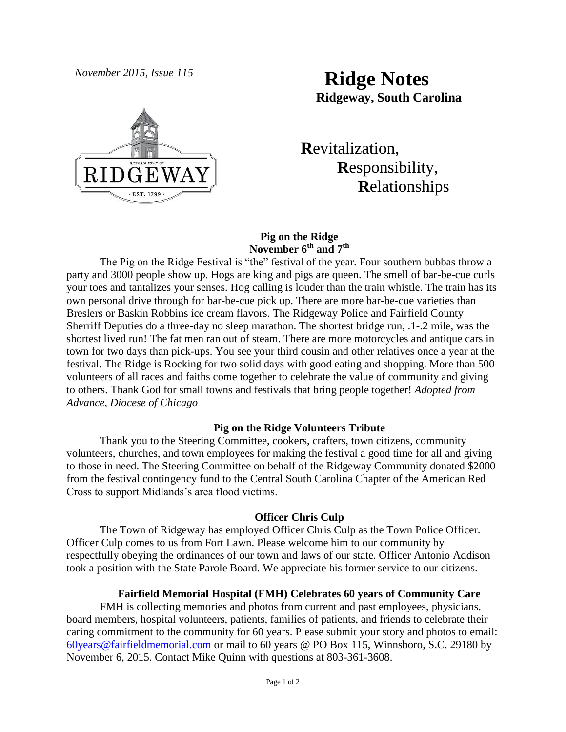

# *November 2015, Issue 115* **Ridge Notes Ridgeway, South Carolina**

 **R**evitalization,  **R**esponsibility,  **R**elationships

## **Pig on the Ridge November 6th and 7th**

The Pig on the Ridge Festival is "the" festival of the year. Four southern bubbas throw a party and 3000 people show up. Hogs are king and pigs are queen. The smell of bar-be-cue curls your toes and tantalizes your senses. Hog calling is louder than the train whistle. The train has its own personal drive through for bar-be-cue pick up. There are more bar-be-cue varieties than Breslers or Baskin Robbins ice cream flavors. The Ridgeway Police and Fairfield County Sherriff Deputies do a three-day no sleep marathon. The shortest bridge run, .1-.2 mile, was the shortest lived run! The fat men ran out of steam. There are more motorcycles and antique cars in town for two days than pick-ups. You see your third cousin and other relatives once a year at the festival. The Ridge is Rocking for two solid days with good eating and shopping. More than 500 volunteers of all races and faiths come together to celebrate the value of community and giving to others. Thank God for small towns and festivals that bring people together! *Adopted from Advance, Diocese of Chicago* 

# **Pig on the Ridge Volunteers Tribute**

Thank you to the Steering Committee, cookers, crafters, town citizens, community volunteers, churches, and town employees for making the festival a good time for all and giving to those in need. The Steering Committee on behalf of the Ridgeway Community donated \$2000 from the festival contingency fund to the Central South Carolina Chapter of the American Red Cross to support Midlands's area flood victims.

## **Officer Chris Culp**

The Town of Ridgeway has employed Officer Chris Culp as the Town Police Officer. Officer Culp comes to us from Fort Lawn. Please welcome him to our community by respectfully obeying the ordinances of our town and laws of our state. Officer Antonio Addison took a position with the State Parole Board. We appreciate his former service to our citizens.

#### **Fairfield Memorial Hospital (FMH) Celebrates 60 years of Community Care**

FMH is collecting memories and photos from current and past employees, physicians, board members, hospital volunteers, patients, families of patients, and friends to celebrate their caring commitment to the community for 60 years. Please submit your story and photos to email: [60years@fairfieldmemorial.com](mailto:60years@fairfieldmemorial.com) or mail to 60 years @ PO Box 115, Winnsboro, S.C. 29180 by November 6, 2015. Contact Mike Quinn with questions at 803-361-3608.